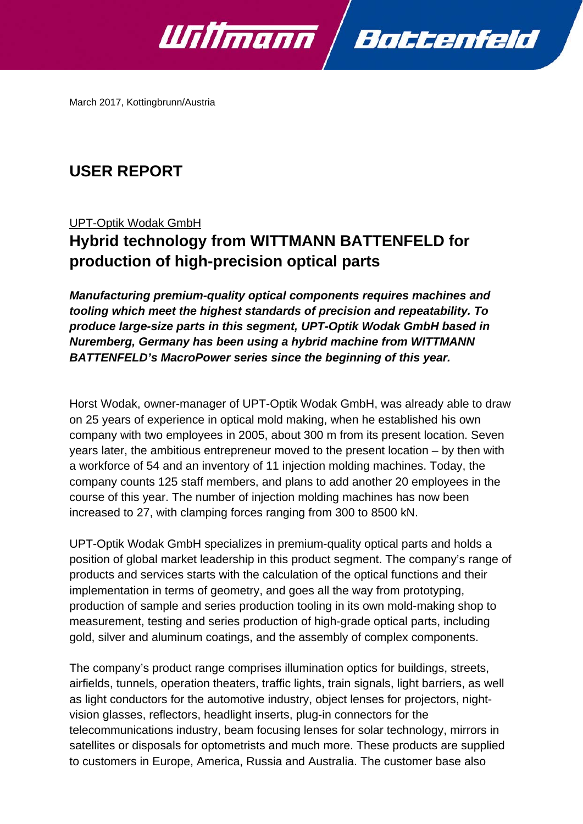

March 2017, Kottingbrunn/Austria

## **USER REPORT**

UPT-Optik Wodak GmbH

# **Hybrid technology from WITTMANN BATTENFELD for production of high-precision optical parts**

*Manufacturing premium-quality optical components requires machines and tooling which meet the highest standards of precision and repeatability. To produce large-size parts in this segment, UPT-Optik Wodak GmbH based in Nuremberg, Germany has been using a hybrid machine from WITTMANN BATTENFELD's MacroPower series since the beginning of this year.* 

Horst Wodak, owner-manager of UPT-Optik Wodak GmbH, was already able to draw on 25 years of experience in optical mold making, when he established his own company with two employees in 2005, about 300 m from its present location. Seven years later, the ambitious entrepreneur moved to the present location – by then with a workforce of 54 and an inventory of 11 injection molding machines. Today, the company counts 125 staff members, and plans to add another 20 employees in the course of this year. The number of injection molding machines has now been increased to 27, with clamping forces ranging from 300 to 8500 kN.

UPT-Optik Wodak GmbH specializes in premium-quality optical parts and holds a position of global market leadership in this product segment. The company's range of products and services starts with the calculation of the optical functions and their implementation in terms of geometry, and goes all the way from prototyping, production of sample and series production tooling in its own mold-making shop to measurement, testing and series production of high-grade optical parts, including gold, silver and aluminum coatings, and the assembly of complex components.

The company's product range comprises illumination optics for buildings, streets, airfields, tunnels, operation theaters, traffic lights, train signals, light barriers, as well as light conductors for the automotive industry, object lenses for projectors, nightvision glasses, reflectors, headlight inserts, plug-in connectors for the telecommunications industry, beam focusing lenses for solar technology, mirrors in satellites or disposals for optometrists and much more. These products are supplied to customers in Europe, America, Russia and Australia. The customer base also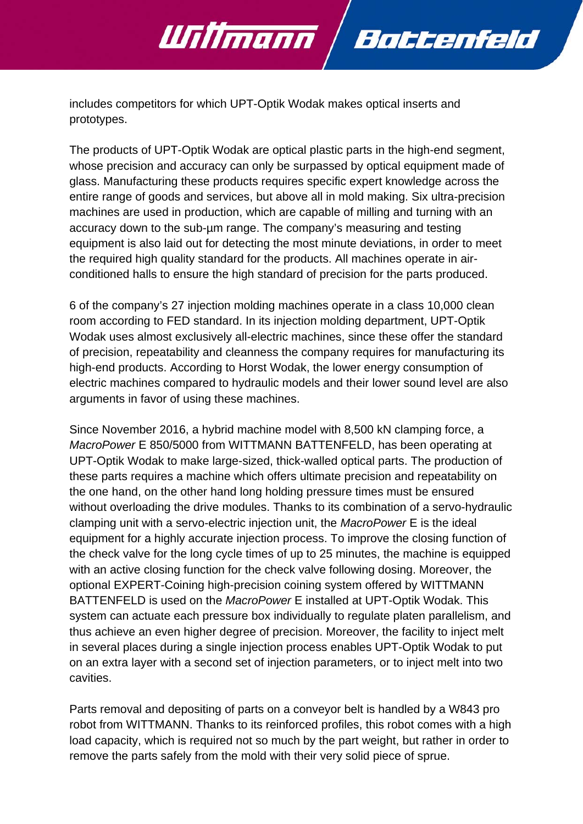

Willmann

The products of UPT-Optik Wodak are optical plastic parts in the high-end segment, whose precision and accuracy can only be surpassed by optical equipment made of glass. Manufacturing these products requires specific expert knowledge across the entire range of goods and services, but above all in mold making. Six ultra-precision machines are used in production, which are capable of milling and turning with an accuracy down to the sub-µm range. The company's measuring and testing equipment is also laid out for detecting the most minute deviations, in order to meet the required high quality standard for the products. All machines operate in airconditioned halls to ensure the high standard of precision for the parts produced.

Battenfeld

6 of the company's 27 injection molding machines operate in a class 10,000 clean room according to FED standard. In its injection molding department, UPT-Optik Wodak uses almost exclusively all-electric machines, since these offer the standard of precision, repeatability and cleanness the company requires for manufacturing its high-end products. According to Horst Wodak, the lower energy consumption of electric machines compared to hydraulic models and their lower sound level are also arguments in favor of using these machines.

Since November 2016, a hybrid machine model with 8,500 kN clamping force, a *MacroPower* E 850/5000 from WITTMANN BATTENFELD, has been operating at UPT-Optik Wodak to make large-sized, thick-walled optical parts. The production of these parts requires a machine which offers ultimate precision and repeatability on the one hand, on the other hand long holding pressure times must be ensured without overloading the drive modules. Thanks to its combination of a servo-hydraulic clamping unit with a servo-electric injection unit, the *MacroPower* E is the ideal equipment for a highly accurate injection process. To improve the closing function of the check valve for the long cycle times of up to 25 minutes, the machine is equipped with an active closing function for the check valve following dosing. Moreover, the optional EXPERT-Coining high-precision coining system offered by WITTMANN BATTENFELD is used on the *MacroPower* E installed at UPT-Optik Wodak. This system can actuate each pressure box individually to regulate platen parallelism, and thus achieve an even higher degree of precision. Moreover, the facility to inject melt in several places during a single injection process enables UPT-Optik Wodak to put on an extra layer with a second set of injection parameters, or to inject melt into two cavities.

Parts removal and depositing of parts on a conveyor belt is handled by a W843 pro robot from WITTMANN. Thanks to its reinforced profiles, this robot comes with a high load capacity, which is required not so much by the part weight, but rather in order to remove the parts safely from the mold with their very solid piece of sprue.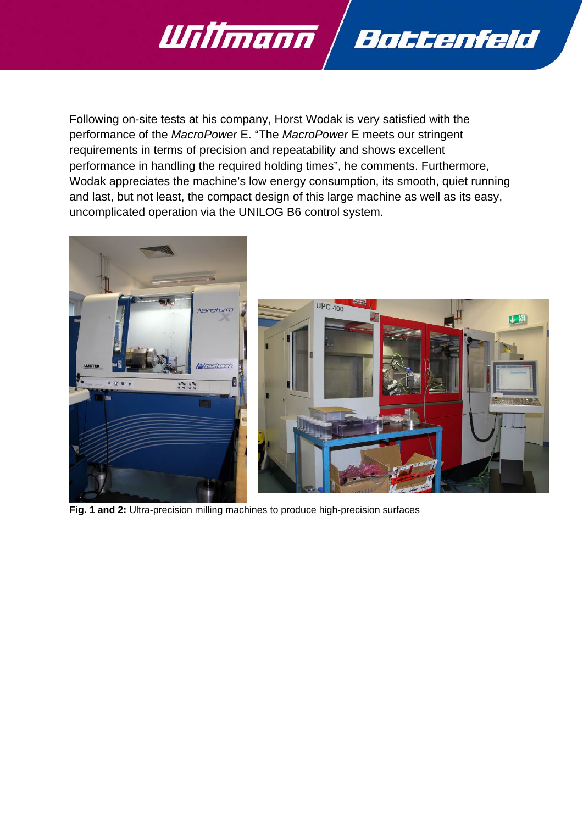

Following on-site tests at his company, Horst Wodak is very satisfied with the performance of the *MacroPower* E. "The *MacroPower* E meets our stringent requirements in terms of precision and repeatability and shows excellent performance in handling the required holding times", he comments. Furthermore, Wodak appreciates the machine's low energy consumption, its smooth, quiet running and last, but not least, the compact design of this large machine as well as its easy, uncomplicated operation via the UNILOG B6 control system.





**Fig. 1 and 2:** Ultra-precision milling machines to produce high-precision surfaces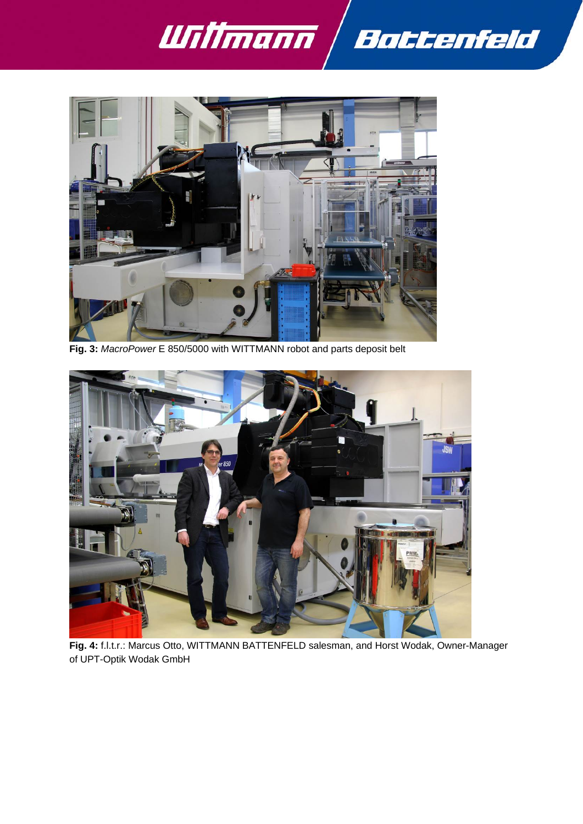



**Fig. 3:** *MacroPower* E 850/5000 with WITTMANN robot and parts deposit belt



**Fig. 4:** f.l.t.r.: Marcus Otto, WITTMANN BATTENFELD salesman, and Horst Wodak, Owner-Manager of UPT-Optik Wodak GmbH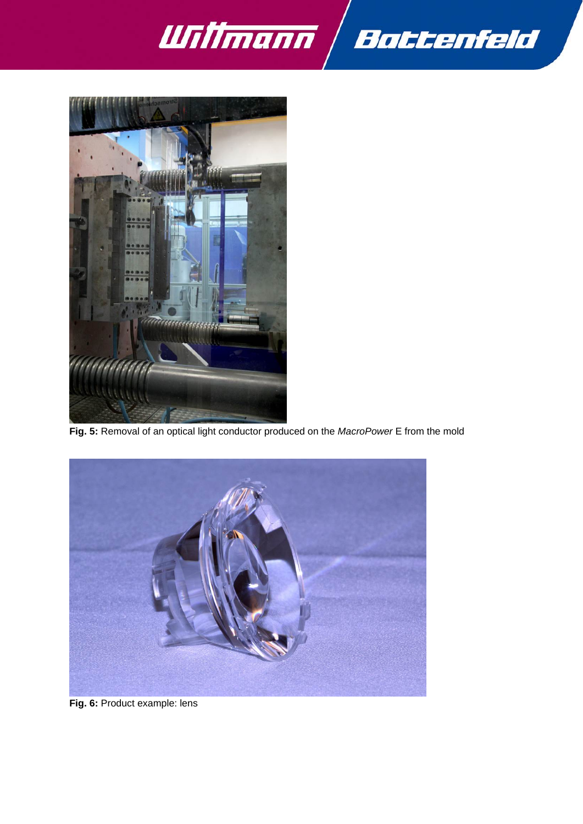



**Fig. 5:** Removal of an optical light conductor produced on the *MacroPower* E from the mold



**Fig. 6:** Product example: lens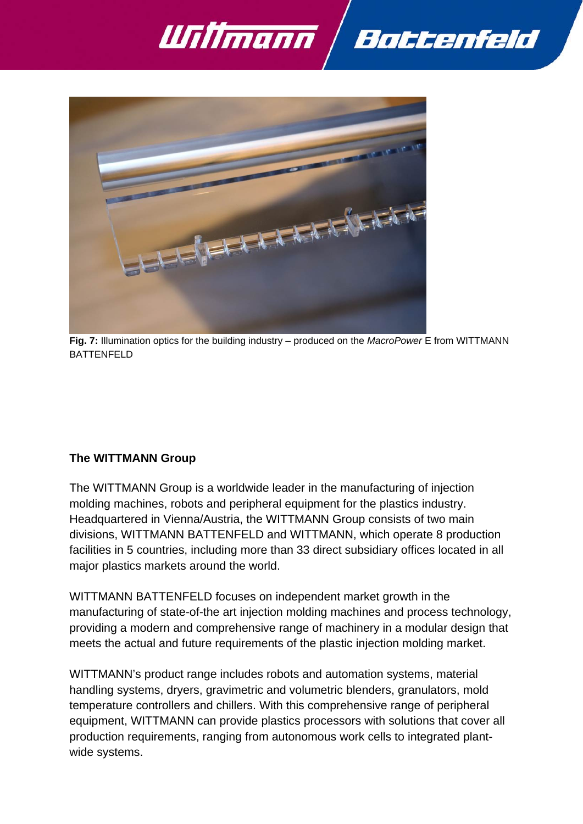



**Fig. 7:** Illumination optics for the building industry – produced on the *MacroPower* E from WITTMANN BATTENFELD

### **The WITTMANN Group**

The WITTMANN Group is a worldwide leader in the manufacturing of injection molding machines, robots and peripheral equipment for the plastics industry. Headquartered in Vienna/Austria, the WITTMANN Group consists of two main divisions, WITTMANN BATTENFELD and WITTMANN, which operate 8 production facilities in 5 countries, including more than 33 direct subsidiary offices located in all major plastics markets around the world.

WITTMANN BATTENFELD focuses on independent market growth in the manufacturing of state-of-the art injection molding machines and process technology, providing a modern and comprehensive range of machinery in a modular design that meets the actual and future requirements of the plastic injection molding market.

WITTMANN's product range includes robots and automation systems, material handling systems, dryers, gravimetric and volumetric blenders, granulators, mold temperature controllers and chillers. With this comprehensive range of peripheral equipment, WITTMANN can provide plastics processors with solutions that cover all production requirements, ranging from autonomous work cells to integrated plantwide systems.